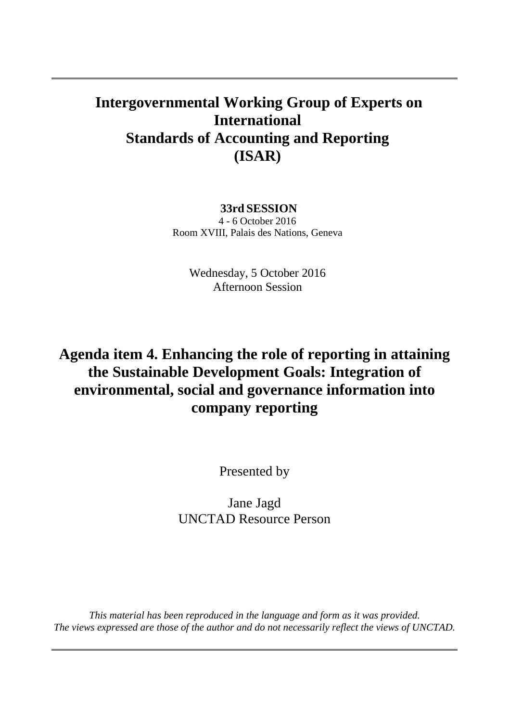#### **Intergovernmental Working Group of Experts on International Standards of Accounting and Reporting (ISAR)**

#### **33rd SESSION**

4 - 6 October 2016 Room XVIII, Palais des Nations, Geneva

> Wednesday, 5 October 2016 Afternoon Session

### **Agenda item 4. Enhancing the role of reporting in attaining the Sustainable Development Goals: Integration of environmental, social and governance information into company reporting**

Presented by

Jane Jagd UNCTAD Resource Person

*This material has been reproduced in the language and form as it was provided. The views expressed are those of the author and do not necessarily reflect the views of UNCTAD.*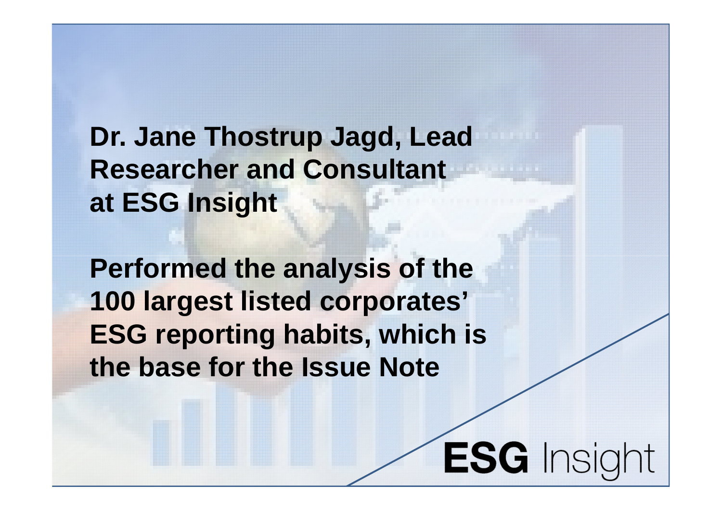**Dr. Jane Thostrup Jagd, Lead Researcher and Consultant at ESG Insight**

**Performed the analysis of the 100 largest listed corporates' ESG reporting habits, which is the base for the Issue Note**

**ESG** Insight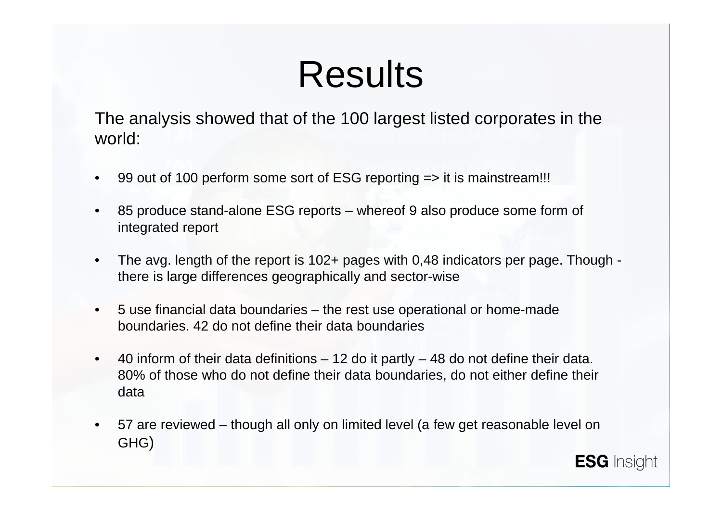# Results

The analysis showed that of the 100 largest listed corporates in the world:

- 99 out of 100 perform some sort of ESG reporting => it is mainstream!!!
- 85 produce stand-alone ESG reports whereof 9 also produce some form of integrated report
- The avg. length of the report is 102+ pages with 0,48 indicators per page. Though there is large differences geographically and sector-wise
- 5 use financial data boundaries the rest use operational or home-made boundaries. 42 do not define their data boundaries
- 40 inform of their data definitions 12 do it partly 48 do not define their data. 80% of those who do not define their data boundaries, do not either define their data
- 57 are reviewed though all only on limited level (a few get reasonable level on GHG)

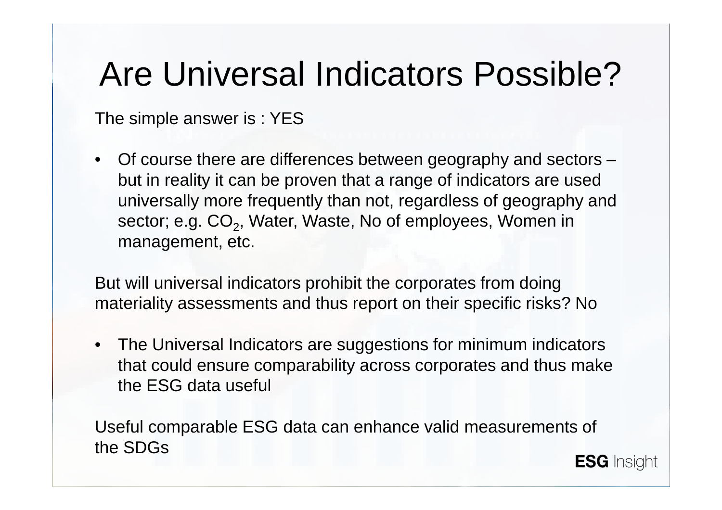## Are Universal Indicators Possible?

The simple answer is : YES

• Of course there are differences between geography and sectors – but in reality it can be proven that a range of indicators are used universally more frequently than not, regardless of geography and sector; e.g. CO<sub>2</sub>, Water, Waste, No of employees, Women in management, etc.

But will universal indicators prohibit the corporates from doing materiality assessments and thus report on their specific risks? No

• The Universal Indicators are suggestions for minimum indicators that could ensure comparability across corporates and thus make the ESG data useful

Useful comparable ESG data can enhance valid measurements of the SDGs**ESG** Insight